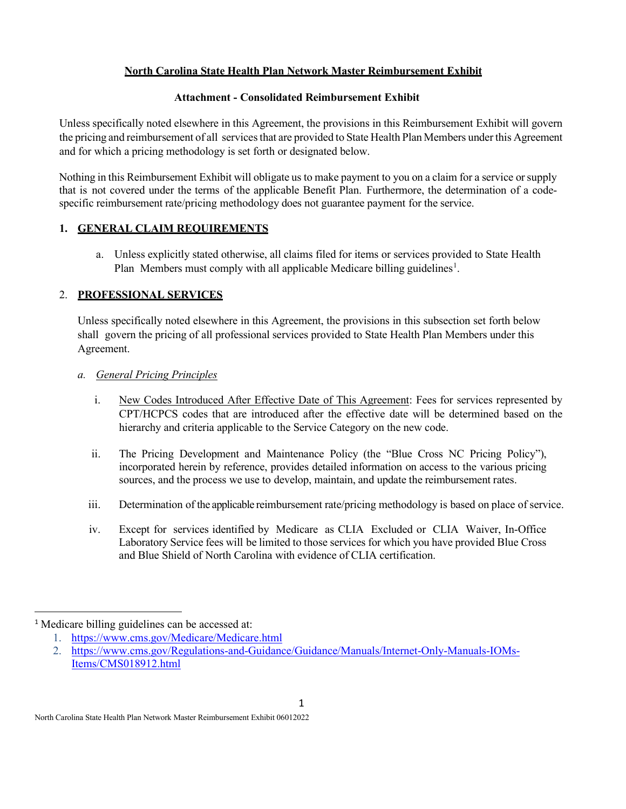## **North Carolina State Health Plan Network Master Reimbursement Exhibit**

### **Attachment - Consolidated Reimbursement Exhibit**

Unless specifically noted elsewhere in this Agreement, the provisions in this Reimbursement Exhibit will govern the pricing and reimbursement of all services that are provided to State Health Plan Members under this Agreement and for which a pricing methodology is set forth or designated below.

Nothing in this Reimbursement Exhibit will obligate us to make payment to you on a claim for a service orsupply that is not covered under the terms of the applicable Benefit Plan. Furthermore, the determination of a codespecific reimbursement rate/pricing methodology does not guarantee payment for the service.

# **1. GENERAL CLAIM REQUIREMENTS**

a. Unless explicitly stated otherwise, all claims filed for items or services provided to State Health Plan Members must comply with all applicable Medicare billing guidelines<sup>[1](#page-0-0)</sup>.

# 2. **PROFESSIONAL SERVICES**

Unless specifically noted elsewhere in this Agreement, the provisions in this subsection set forth below shall govern the pricing of all professional services provided to State Health Plan Members under this Agreement.

# *a. General Pricing Principles*

- i. New Codes Introduced After Effective Date of This Agreement: Fees for services represented by CPT/HCPCS codes that are introduced after the effective date will be determined based on the hierarchy and criteria applicable to the Service Category on the new code.
- ii. The Pricing Development and Maintenance Policy (the "Blue Cross NC Pricing Policy"), incorporated herein by reference, provides detailed information on access to the various pricing sources, and the process we use to develop, maintain, and update the reimbursement rates.
- iii. Determination of the applicable reimbursement rate/pricing methodology is based on place of service.
- iv. Except for services identified by Medicare as CLIA Excluded or CLIA Waiver, In-Office Laboratory Service fees will be limited to those services for which you have provided Blue Cross and Blue Shield of North Carolina with evidence of CLIA certification.

<span id="page-0-0"></span><sup>&</sup>lt;sup>1</sup> Medicare billing guidelines can be accessed at:

<sup>1.</sup> <https://www.cms.gov/Medicare/Medicare.html>

<sup>2.</sup> [https://www.cms.gov/Regulations-and-Guidance/Guidance/Manuals/Internet-Only-Manuals-IOMs-](https://www.cms.gov/Regulations-and-Guidance/Guidance/Manuals/Internet-Only-Manuals-IOMs-Items/CMS018912.html)[Items/CMS018912.html](https://www.cms.gov/Regulations-and-Guidance/Guidance/Manuals/Internet-Only-Manuals-IOMs-Items/CMS018912.html)

North Carolina State Health Plan Network Master Reimbursement Exhibit 06012022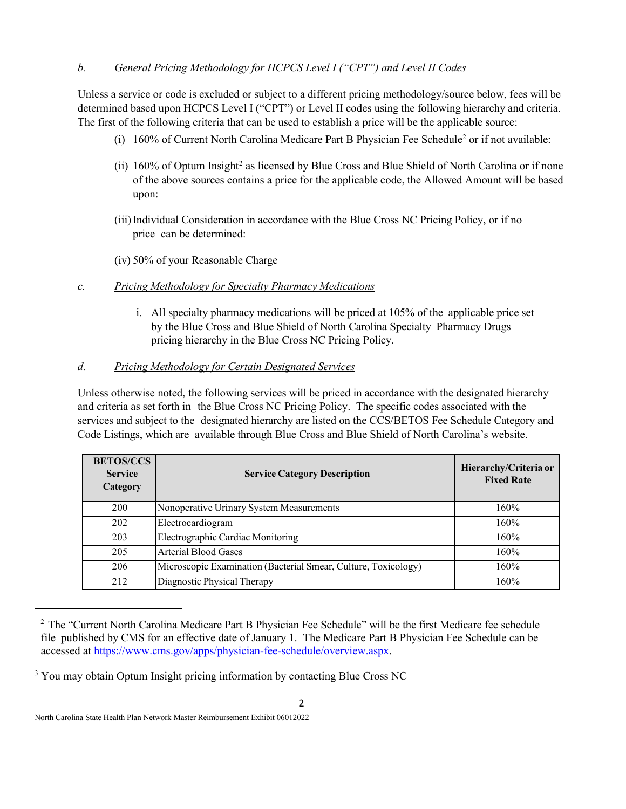## *b. General Pricing Methodology for HCPCS Level I ("CPT") and Level II Codes*

Unless a service or code is excluded or subject to a different pricing methodology/source below, fees will be determined based upon HCPCS Level I ("CPT") or Level II codes using the following hierarchy and criteria. The first of the following criteria that can be used to establish a price will be the applicable source:

- (i)  $160\%$  of Current North Carolina Medicare Part B Physician Fee Schedule<sup>2</sup> or if not available:
- (ii) 160% of Optum Insight<sup>[2](#page-1-0)</sup> as licensed by Blue Cross and Blue Shield of North Carolina or if none of the above sources contains a price for the applicable code, the Allowed Amount will be based upon:
- (iii)Individual Consideration in accordance with the Blue Cross NC Pricing Policy, or if no price can be determined:
- (iv) 50% of your Reasonable Charge

### *c. Pricing Methodology for Specialty Pharmacy Medications*

i. All specialty pharmacy medications will be priced at 105% of the applicable price set by the Blue Cross and Blue Shield of North Carolina Specialty Pharmacy Drugs pricing hierarchy in the Blue Cross NC Pricing Policy.

### *d. Pricing Methodology for Certain Designated Services*

Unless otherwise noted, the following services will be priced in accordance with the designated hierarchy and criteria as set forth in the Blue Cross NC Pricing Policy. The specific codes associated with the services and subject to the designated hierarchy are listed on the CCS/BETOS Fee Schedule Category and Code Listings, which are available through Blue Cross and Blue Shield of North Carolina's website.

| <b>BETOS/CCS</b><br><b>Service</b><br>Category | <b>Service Category Description</b>                            | Hierarchy/Criteria or<br><b>Fixed Rate</b> |
|------------------------------------------------|----------------------------------------------------------------|--------------------------------------------|
| 200                                            | Nonoperative Urinary System Measurements                       | 160%                                       |
| 202                                            | Electrocardiogram                                              | 160%                                       |
| 203                                            | Electrographic Cardiac Monitoring                              | 160%                                       |
| 205                                            | <b>Arterial Blood Gases</b>                                    | 160%                                       |
| 206                                            | Microscopic Examination (Bacterial Smear, Culture, Toxicology) | 160%                                       |
| 212                                            | Diagnostic Physical Therapy                                    | 160%                                       |

<span id="page-1-0"></span><sup>&</sup>lt;sup>2</sup> The "Current North Carolina Medicare Part B Physician Fee Schedule" will be the first Medicare fee schedule file published by CMS for an effective date of January 1. The Medicare Part B Physician Fee Schedule can be accessed at [https://www.cms.gov/apps/physician-fee-schedule/overview.aspx.](https://www.cms.gov/apps/physician-fee-schedule/overview.aspx)

<sup>&</sup>lt;sup>3</sup> You may obtain Optum Insight pricing information by contacting Blue Cross NC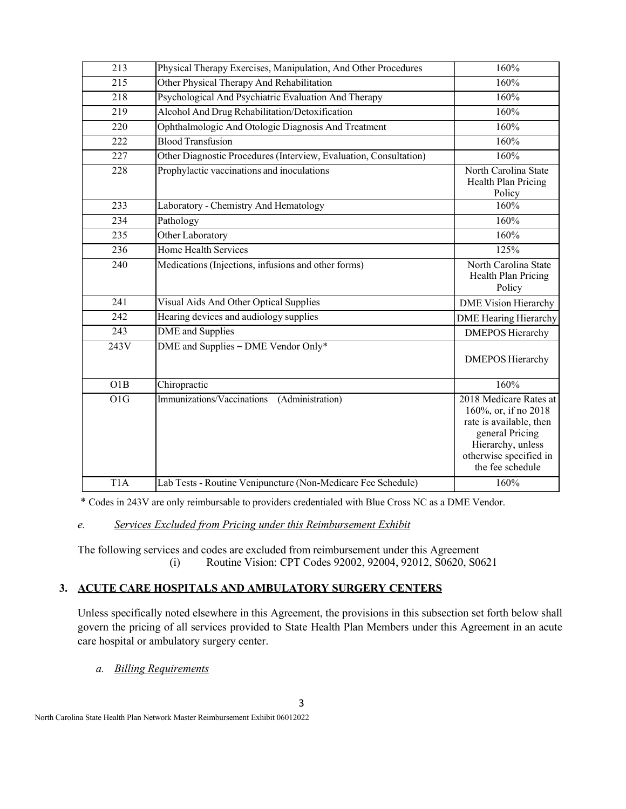| 213              | Physical Therapy Exercises, Manipulation, And Other Procedures    | 160%                                                                                                                                                            |
|------------------|-------------------------------------------------------------------|-----------------------------------------------------------------------------------------------------------------------------------------------------------------|
| 215              | Other Physical Therapy And Rehabilitation                         | 160%                                                                                                                                                            |
| $\overline{218}$ | Psychological And Psychiatric Evaluation And Therapy              | 160%                                                                                                                                                            |
| 219              | Alcohol And Drug Rehabilitation/Detoxification                    | 160%                                                                                                                                                            |
| 220              | Ophthalmologic And Otologic Diagnosis And Treatment               | 160%                                                                                                                                                            |
| 222              | <b>Blood Transfusion</b>                                          | 160%                                                                                                                                                            |
| 227              | Other Diagnostic Procedures (Interview, Evaluation, Consultation) | 160%                                                                                                                                                            |
| 228              | Prophylactic vaccinations and inoculations                        | North Carolina State<br>Health Plan Pricing<br>Policy                                                                                                           |
| 233              | Laboratory - Chemistry And Hematology                             | 160%                                                                                                                                                            |
| 234              | Pathology                                                         | 160%                                                                                                                                                            |
| 235              | Other Laboratory                                                  | 160%                                                                                                                                                            |
| 236              | Home Health Services                                              | 125%                                                                                                                                                            |
| 240              | Medications (Injections, infusions and other forms)               | North Carolina State<br>Health Plan Pricing<br>Policy                                                                                                           |
| 241              | Visual Aids And Other Optical Supplies                            | <b>DME Vision Hierarchy</b>                                                                                                                                     |
| 242              | Hearing devices and audiology supplies                            | <b>DME</b> Hearing Hierarchy                                                                                                                                    |
| 243              | <b>DME</b> and Supplies                                           | <b>DMEPOS Hierarchy</b>                                                                                                                                         |
| 243V             | DME and Supplies - DME Vendor Only*                               | <b>DMEPOS Hierarchy</b>                                                                                                                                         |
| O1B              | Chiropractic                                                      | 160%                                                                                                                                                            |
| O1G              | Immunizations/Vaccinations<br>(Administration)                    | 2018 Medicare Rates at<br>160%, or, if no 2018<br>rate is available, then<br>general Pricing<br>Hierarchy, unless<br>otherwise specified in<br>the fee schedule |
| $\overline{T}1A$ | Lab Tests - Routine Venipuncture (Non-Medicare Fee Schedule)      | 160%                                                                                                                                                            |
|                  |                                                                   |                                                                                                                                                                 |

\* Codes in 243V are only reimbursable to providers credentialed with Blue Cross NC as a DME Vendor.

# *e. Services Excluded from Pricing under this Reimbursement Exhibit*

The following services and codes are excluded from reimbursement under this Agreement (i) Routine Vision: CPT Codes 92002, 92004, 92012, S0620, S0621

# **3. ACUTE CARE HOSPITALS AND AMBULATORY SURGERY CENTERS**

Unless specifically noted elsewhere in this Agreement, the provisions in this subsection set forth below shall govern the pricing of all services provided to State Health Plan Members under this Agreement in an acute care hospital or ambulatory surgery center.

*a. Billing Requirements*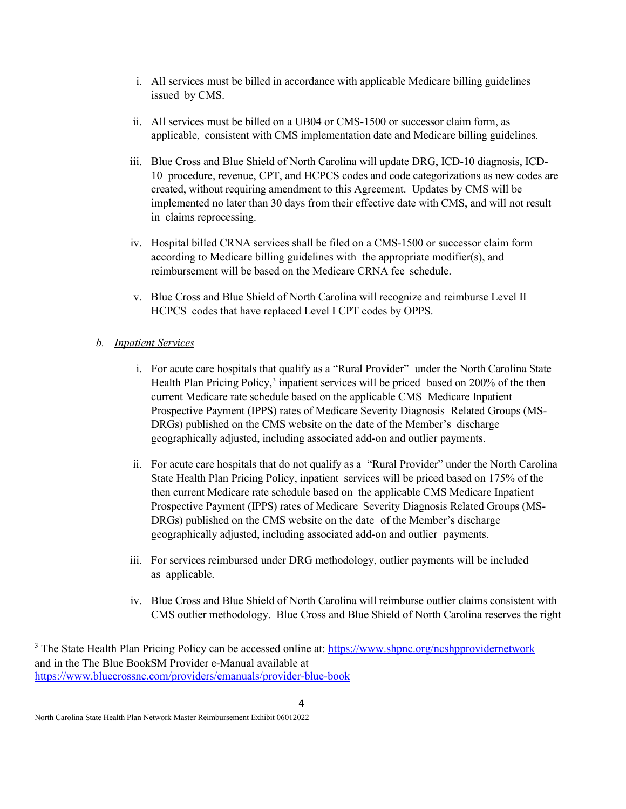- i. All services must be billed in accordance with applicable Medicare billing guidelines issued by CMS.
- ii. All services must be billed on a UB04 or CMS-1500 or successor claim form, as applicable, consistent with CMS implementation date and Medicare billing guidelines.
- iii. Blue Cross and Blue Shield of North Carolina will update DRG, ICD-10 diagnosis, ICD-10 procedure, revenue, CPT, and HCPCS codes and code categorizations as new codes are created, without requiring amendment to this Agreement. Updates by CMS will be implemented no later than 30 days from their effective date with CMS, and will not result in claims reprocessing.
- iv. Hospital billed CRNA services shall be filed on a CMS-1500 or successor claim form according to Medicare billing guidelines with the appropriate modifier(s), and reimbursement will be based on the Medicare CRNA fee schedule.
- v. Blue Cross and Blue Shield of North Carolina will recognize and reimburse Level II HCPCS codes that have replaced Level I CPT codes by OPPS.

### *b. Inpatient Services*

- i. For acute care hospitals that qualify as a "Rural Provider" under the North Carolina State Health Plan Pricing Policy,<sup>[3](#page-3-0)</sup> inpatient services will be priced based on 200% of the then current Medicare rate schedule based on the applicable CMS Medicare Inpatient Prospective Payment (IPPS) rates of Medicare Severity Diagnosis Related Groups (MS-DRGs) published on the CMS website on the date of the Member's discharge geographically adjusted, including associated add-on and outlier payments.
- ii. For acute care hospitals that do not qualify as a "Rural Provider" under the North Carolina State Health Plan Pricing Policy, inpatient services will be priced based on 175% of the then current Medicare rate schedule based on the applicable CMS Medicare Inpatient Prospective Payment (IPPS) rates of Medicare Severity Diagnosis Related Groups (MS-DRGs) published on the CMS website on the date of the Member's discharge geographically adjusted, including associated add-on and outlier payments.
- iii. For services reimbursed under DRG methodology, outlier payments will be included as applicable.
- iv. Blue Cross and Blue Shield of North Carolina will reimburse outlier claims consistent with CMS outlier methodology. Blue Cross and Blue Shield of North Carolina reserves the right

<span id="page-3-0"></span><sup>&</sup>lt;sup>3</sup> The State Health Plan Pricing Policy can be accessed online at:<https://www.shpnc.org/ncshpprovidernetwork> and in the The Blue BookSM Provider e-Manual available at <https://www.bluecrossnc.com/providers/emanuals/provider-blue-book>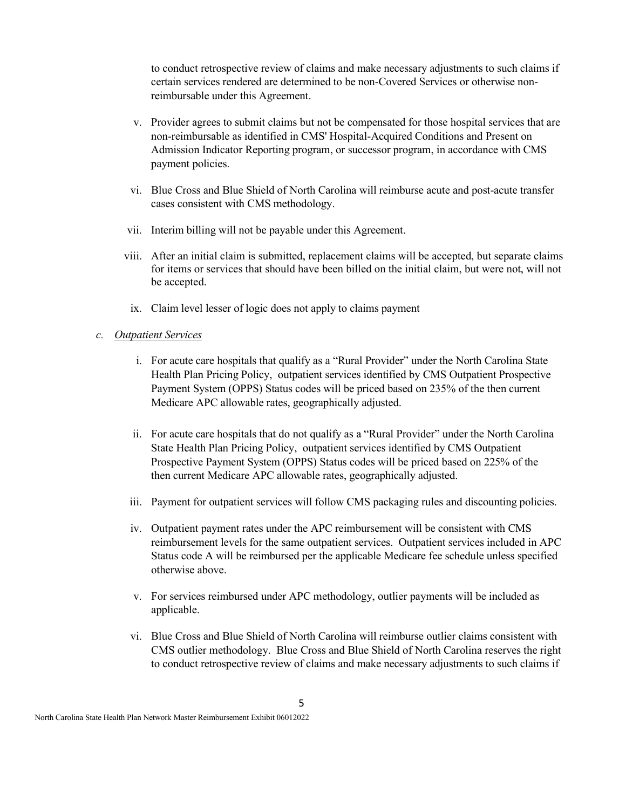to conduct retrospective review of claims and make necessary adjustments to such claims if certain services rendered are determined to be non-Covered Services or otherwise nonreimbursable under this Agreement.

- v. Provider agrees to submit claims but not be compensated for those hospital services that are non-reimbursable as identified in CMS' Hospital-Acquired Conditions and Present on Admission Indicator Reporting program, or successor program, in accordance with CMS payment policies.
- vi. Blue Cross and Blue Shield of North Carolina will reimburse acute and post-acute transfer cases consistent with CMS methodology.
- vii. Interim billing will not be payable under this Agreement.
- viii. After an initial claim is submitted, replacement claims will be accepted, but separate claims for items or services that should have been billed on the initial claim, but were not, will not be accepted.
- ix. Claim level lesser of logic does not apply to claims payment

#### *c. Outpatient Services*

- i. For acute care hospitals that qualify as a "Rural Provider" under the North Carolina State Health Plan Pricing Policy, outpatient services identified by CMS Outpatient Prospective Payment System (OPPS) Status codes will be priced based on 235% of the then current Medicare APC allowable rates, geographically adjusted.
- ii. For acute care hospitals that do not qualify as a "Rural Provider" under the North Carolina State Health Plan Pricing Policy, outpatient services identified by CMS Outpatient Prospective Payment System (OPPS) Status codes will be priced based on 225% of the then current Medicare APC allowable rates, geographically adjusted.
- iii. Payment for outpatient services will follow CMS packaging rules and discounting policies.
- iv. Outpatient payment rates under the APC reimbursement will be consistent with CMS reimbursement levels for the same outpatient services. Outpatient services included in APC Status code A will be reimbursed per the applicable Medicare fee schedule unless specified otherwise above.
- v. For services reimbursed under APC methodology, outlier payments will be included as applicable.
- vi. Blue Cross and Blue Shield of North Carolina will reimburse outlier claims consistent with CMS outlier methodology. Blue Cross and Blue Shield of North Carolina reserves the right to conduct retrospective review of claims and make necessary adjustments to such claims if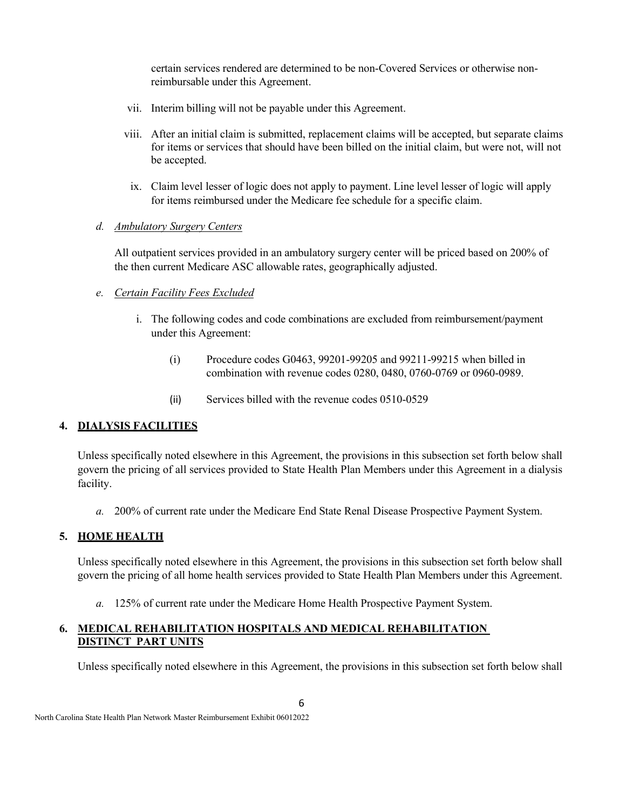certain services rendered are determined to be non-Covered Services or otherwise nonreimbursable under this Agreement.

- vii. Interim billing will not be payable under this Agreement.
- viii. After an initial claim is submitted, replacement claims will be accepted, but separate claims for items or services that should have been billed on the initial claim, but were not, will not be accepted.
- ix. Claim level lesser of logic does not apply to payment. Line level lesser of logic will apply for items reimbursed under the Medicare fee schedule for a specific claim.

#### *d. Ambulatory Surgery Centers*

All outpatient services provided in an ambulatory surgery center will be priced based on 200% of the then current Medicare ASC allowable rates, geographically adjusted.

### *e. Certain Facility Fees Excluded*

- i. The following codes and code combinations are excluded from reimbursement/payment under this Agreement:
	- (i) Procedure codes G0463, 99201-99205 and 99211-99215 when billed in combination with revenue codes 0280, 0480, 0760-0769 or 0960-0989.
	- (ii) Services billed with the revenue codes 0510-0529

# **4. DIALYSIS FACILITIES**

Unless specifically noted elsewhere in this Agreement, the provisions in this subsection set forth below shall govern the pricing of all services provided to State Health Plan Members under this Agreement in a dialysis facility.

*a.* 200% of current rate under the Medicare End State Renal Disease Prospective Payment System.

### **5. HOME HEALTH**

Unless specifically noted elsewhere in this Agreement, the provisions in this subsection set forth below shall govern the pricing of all home health services provided to State Health Plan Members under this Agreement.

*a.* 125% of current rate under the Medicare Home Health Prospective Payment System.

#### **6. MEDICAL REHABILITATION HOSPITALS AND MEDICAL REHABILITATION DISTINCT PART UNITS**

Unless specifically noted elsewhere in this Agreement, the provisions in this subsection set forth below shall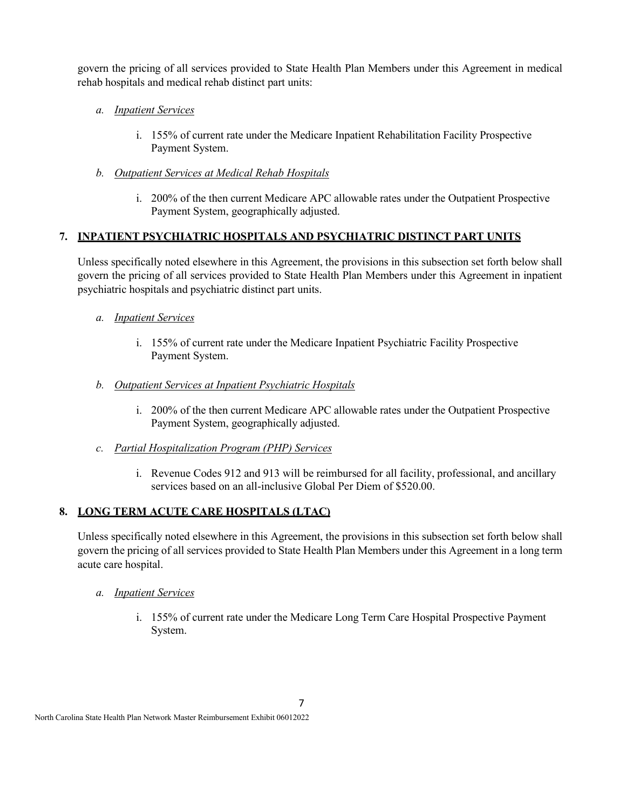govern the pricing of all services provided to State Health Plan Members under this Agreement in medical rehab hospitals and medical rehab distinct part units:

## *a. Inpatient Services*

i. 155% of current rate under the Medicare Inpatient Rehabilitation Facility Prospective Payment System.

### *b. Outpatient Services at Medical Rehab Hospitals*

i. 200% of the then current Medicare APC allowable rates under the Outpatient Prospective Payment System, geographically adjusted.

# **7. INPATIENT PSYCHIATRIC HOSPITALS AND PSYCHIATRIC DISTINCT PART UNITS**

Unless specifically noted elsewhere in this Agreement, the provisions in this subsection set forth below shall govern the pricing of all services provided to State Health Plan Members under this Agreement in inpatient psychiatric hospitals and psychiatric distinct part units.

- *a. Inpatient Services*
	- i. 155% of current rate under the Medicare Inpatient Psychiatric Facility Prospective Payment System.

### *b. Outpatient Services at Inpatient Psychiatric Hospitals*

- i. 200% of the then current Medicare APC allowable rates under the Outpatient Prospective Payment System, geographically adjusted.
- *c. Partial Hospitalization Program (PHP) Services*
	- i. Revenue Codes 912 and 913 will be reimbursed for all facility, professional, and ancillary services based on an all-inclusive Global Per Diem of \$520.00.

# **8. LONG TERM ACUTE CARE HOSPITALS (LTAC)**

Unless specifically noted elsewhere in this Agreement, the provisions in this subsection set forth below shall govern the pricing of all services provided to State Health Plan Members under this Agreement in a long term acute care hospital.

- *a. Inpatient Services*
	- i. 155% of current rate under the Medicare Long Term Care Hospital Prospective Payment System.